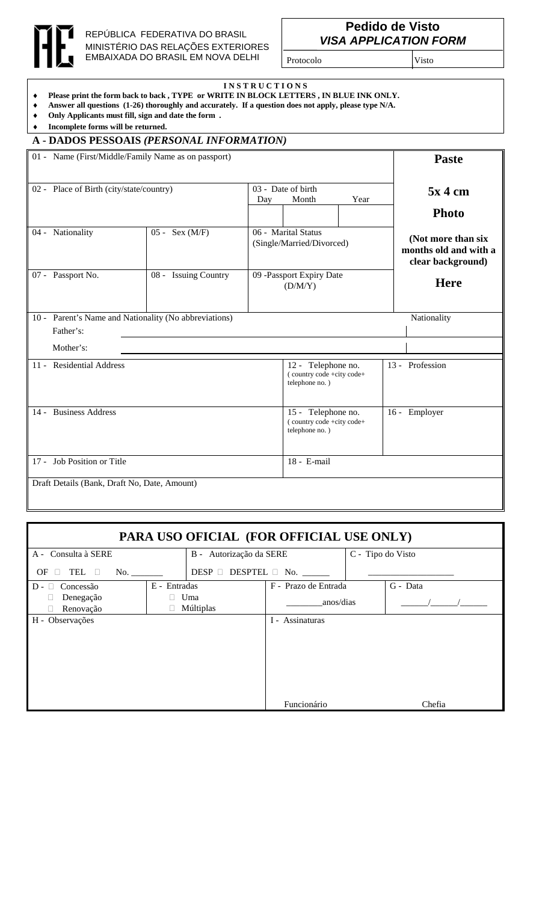

## REPÚBLICA FEDERATIVA DO BRASIL MINISTÉRIO DAS RELAÇÕES EXTERIORES EMBAIXADA DO BRASIL EM NOVA DELHI

## **Pedido de Visto** *VISA APPLICATION FORM*

Protocolo Visto

**I N S T R U C T I O N S**

- ♦ **Please print the form back to back , TYPE or WRITE IN BLOCK LETTERS , IN BLUE INK ONLY.**
- ♦ **Answer all questions (1-26) thoroughly and accurately. If a question does not apply, please type N/A.**
- ♦ **Only Applicants must fill, sign and date the form .**
- ♦ **Incomplete forms will be returned.**

## **A - DADOS PESSOAIS** *(PERSONAL INFORMATION)*

|                                              | 01 - Name (First/Middle/Family Name as on passport)                |                                                                   |                                                  |                                                                   |               |           | <b>Paste</b>                                                     |  |
|----------------------------------------------|--------------------------------------------------------------------|-------------------------------------------------------------------|--------------------------------------------------|-------------------------------------------------------------------|---------------|-----------|------------------------------------------------------------------|--|
|                                              | 02 - Place of Birth (city/state/country)                           |                                                                   |                                                  | 03 - Date of birth<br>Month                                       |               | $5x$ 4 cm |                                                                  |  |
|                                              |                                                                    |                                                                   |                                                  |                                                                   |               |           | <b>Photo</b>                                                     |  |
|                                              | 04 - Nationality                                                   | $05 - \text{Sex } (M/F)$                                          | 06 - Marital Status<br>(Single/Married/Divorced) |                                                                   |               |           | (Not more than six<br>months old and with a<br>clear background) |  |
|                                              | 07 - Passport No.                                                  | 08 - Issuing Country                                              | 09 -Passport Expiry Date<br>(D/M/Y)              |                                                                   |               |           | <b>Here</b>                                                      |  |
|                                              | 10 - Parent's Name and Nationality (No abbreviations)<br>Father's: |                                                                   |                                                  |                                                                   |               |           | Nationality                                                      |  |
|                                              | Mother's:                                                          |                                                                   |                                                  |                                                                   |               |           |                                                                  |  |
|                                              | 11 - Residential Address                                           |                                                                   |                                                  | 12 - Telephone no.<br>(country code +city code+<br>telephone no.) |               |           | 13 - Profession                                                  |  |
|                                              | 14 - Business Address                                              | 15 - Telephone no.<br>(country code +city code+<br>telephone no.) |                                                  |                                                                   | 16 - Employer |           |                                                                  |  |
|                                              | 17 - Job Position or Title                                         |                                                                   |                                                  |                                                                   | 18 - E-mail   |           |                                                                  |  |
| Draft Details (Bank, Draft No, Date, Amount) |                                                                    |                                                                   |                                                  |                                                                   |               |           |                                                                  |  |

## **PARA USO OFICIAL (FOR OFFICIAL USE ONLY)**

| A - Consulta à SERE                  |                     | B - Autorização da SERE               | C - Tipo do Visto |  |  |
|--------------------------------------|---------------------|---------------------------------------|-------------------|--|--|
|                                      |                     |                                       |                   |  |  |
| TEL <b>D</b><br>OF.<br>No.<br>$\Box$ |                     | DESP $\Box$ DESPTEL $\Box$ No. ______ |                   |  |  |
| Concessão<br>$D -$<br>П              | E - Entradas        | F - Prazo de Entrada                  | G - Data          |  |  |
| Denegação                            | Uma<br>$\mathbb{R}$ | anos/dias                             |                   |  |  |
| Renovação                            | Múltiplas           |                                       |                   |  |  |
| H - Observações                      |                     | I - Assinaturas                       |                   |  |  |
|                                      |                     |                                       |                   |  |  |
|                                      |                     |                                       |                   |  |  |
|                                      |                     |                                       |                   |  |  |
|                                      |                     |                                       |                   |  |  |
|                                      |                     |                                       |                   |  |  |
|                                      |                     |                                       |                   |  |  |
|                                      |                     |                                       |                   |  |  |
|                                      |                     | Funcionário                           | Chefia            |  |  |